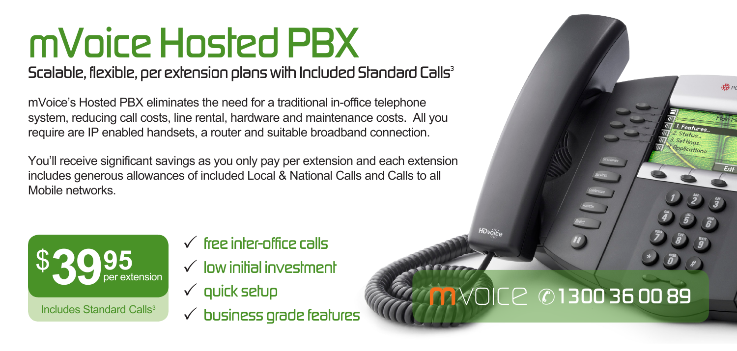# *mVoice Hosted PBX*

## *Scalable, flexible, per extension plans with Included Standard Calls3*

mVoice's Hosted PBX eliminates the need for a traditional in-office telephone system, reducing call costs, line rental, hardware and maintenance costs. All you require are IP enabled handsets, a router and suitable broadband connection.

You'll receive significant savings as you only pay per extension and each extension includes generous allowances of included Local & National Calls and Calls to all Mobile networks.



P *free inter-office calls*

- P *low initial investment*
- P *quick setup*
- P *business grade features*